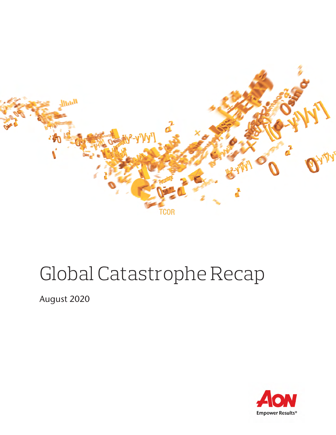

# Global Catastrophe Recap

August 2020

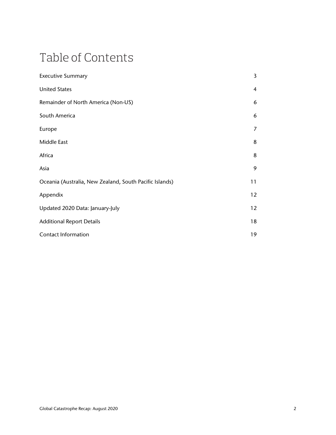## Table of Contents

| <b>Executive Summary</b>                                | 3              |
|---------------------------------------------------------|----------------|
| <b>United States</b>                                    | $\overline{4}$ |
| Remainder of North America (Non-US)                     | 6              |
| South America                                           | 6              |
| Europe                                                  | 7              |
| Middle East                                             | 8              |
| Africa                                                  | 8              |
| Asia                                                    | 9              |
| Oceania (Australia, New Zealand, South Pacific Islands) | 11             |
| Appendix                                                | 12             |
| Updated 2020 Data: January-July                         | 12             |
| <b>Additional Report Details</b>                        | 18             |
| <b>Contact Information</b>                              | 19             |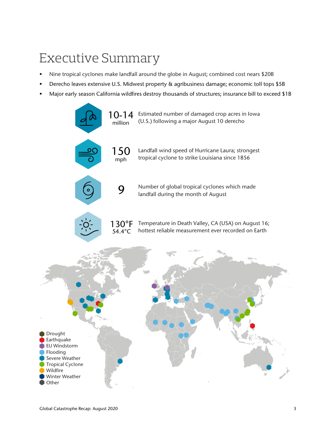## Executive Summary

- Nine tropical cyclones make landfall around the globe in August; combined cost nears \$20B
- Derecho leaves extensive U.S. Midwest property & agribusiness damage; economic toll tops \$5B
- Major early season California wildfires destroy thousands of structures; insurance bill to exceed \$1B

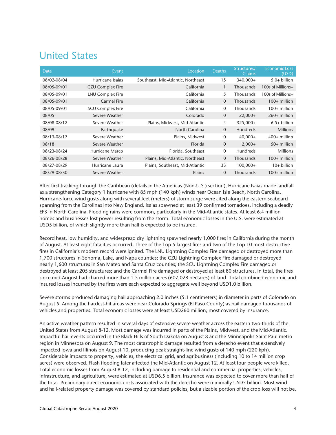### United States

| <b>Date</b> | Event                   | Location                           | <b>Deaths</b>  | Structures/<br><b>Claims</b> | <b>Economic Loss</b><br>(USD) |
|-------------|-------------------------|------------------------------------|----------------|------------------------------|-------------------------------|
| 08/02-08/04 | Hurricane Isaias        | Southeast, Mid-Atlantic, Northeast | 15             | 340,000+                     | $5.0+$ billion                |
| 08/05-09/01 | <b>CZU Complex Fire</b> | California                         |                | Thousands                    | 100s of Millions+             |
| 08/05-09/01 | LNU Complex Fire        | California                         | 5              | <b>Thousands</b>             | 100s of Millions+             |
| 08/05-09/01 | <b>Carmel Fire</b>      | California                         | $\overline{0}$ | Thousands                    | $100+$ million                |
| 08/05-09/01 | <b>SCU Complex Fire</b> | California                         | $\mathbf 0$    | Thousands                    | 100+ million                  |
| 08/05       | Severe Weather          | Colorado                           | $\overline{0}$ | $22,000+$                    | $260+$ million                |
| 08/08-08/12 | Severe Weather          | Plains, Midwest, Mid-Atlantic      | 4              | 325,000+                     | $6.5+$ billion                |
| 08/09       | Earthquake              | North Carolina                     | $\mathbf{0}$   | <b>Hundreds</b>              | <b>Millions</b>               |
| 08/13-08/17 | Severe Weather          | Plains, Midwest                    | $\Omega$       | $40,000+$                    | $400+$ million                |
| 08/18       | Severe Weather          | <b>Florida</b>                     | $\mathbf{0}$   | $2,000+$                     | $50+$ million                 |
| 08/23-08/24 | Hurricane Marco         | Florida, Southeast                 | $\mathbf 0$    | <b>Hundreds</b>              | <b>Millions</b>               |
| 08/26-08/28 | Severe Weather          | Plains, Mid-Atlantic, Northeast    | $\Omega$       | <b>Thousands</b>             | $100+$ million                |
| 08/27-08/29 | Hurricane Laura         | Plains, Southeast, Mid-Atlantic    | 33             | 100,000+                     | 10+ billion                   |
| 08/29-08/30 | Severe Weather          | Plains                             | $\Omega$       | <b>Thousands</b>             | $100+$ million                |

After first tracking through the Caribbean (details in the Americas (Non-U.S.) section), Hurricane Isaias made landfall as a strengthening Category 1 hurricane with 85 mph (140 kph) winds near Ocean Isle Beach, North Carolina. Hurricane-force wind gusts along with several feet (meters) of storm surge were cited along the eastern seaboard spanning from the Carolinas into New England. Isaias spawned at least 39 confirmed tornadoes, including a deadly EF3 in North Carolina. Flooding rains were common, particularly in the Mid-Atlantic states. At least 6.4 million homes and businesses lost power resulting from the storm. Total economic losses in the U.S. were estimated at USD5 billion, of which slightly more than half is expected to be insured.

Record heat, low humidity, and widespread dry lightning spawned nearly 1,000 fires in California during the month of August. At least eight fatalities occurred. Three of the Top 5 largest fires and two of the Top 10 most destructive fires in California's modern record were ignited. The LNU Lightning Complex Fire damaged or destroyed more than 1,700 structures in Sonoma, Lake, and Napa counties; the CZU Lightning Complex Fire damaged or destroyed nearly 1,600 structures in San Mateo and Santa Cruz counties; the SCU Lightning Complex Fire damaged or destroyed at least 205 structures; and the Carmel Fire damaged or destroyed at least 80 structures. In total, the fires since mid-August had charred more than 1.5 million acres (607,028 hectares) of land. Total combined economic and insured losses incurred by the fires were each expected to aggregate well beyond USD1.0 billion.

Severe storms produced damaging hail approaching 2.0 inches (5.1 centimeters) in diameter in parts of Colorado on August 5. Among the hardest-hit areas were near Colorado Springs (El Paso County) as hail damaged thousands of vehicles and properties. Total economic losses were at least USD260 million; most covered by insurance.

An active weather pattern resulted in several days of extensive severe weather across the eastern two-thirds of the United States from August 8-12. Most damage was incurred in parts of the Plains, Midwest, and the Mid-Atlantic. Impactful hail events occurred in the Black Hills of South Dakota on August 8 and the Minneapolis-Saint Paul metro region in Minnesota on August 9. The most catastrophic damage resulted from a derecho event that extensively impacted Iowa and Illinois on August 10, producing peak straight-line wind gusts of 140 mph (220 kph). Considerable impacts to property, vehicles, the electrical grid, and agribusiness (including 10 to 14 million crop acres) were observed. Flash flooding later affected the Mid-Atlantic on August 12. At least four people were killed. Total economic losses from August 8-12, including damage to residential and commercial properties, vehicles, infrastructure, and agriculture, were estimated at USD6.5 billion. Insurance was expected to cover more than half of the total. Preliminary direct economic costs associated with the derecho were minimally USD5 billion. Most wind and hail-related property damage was covered by standard policies, but a sizable portion of the crop loss will not be.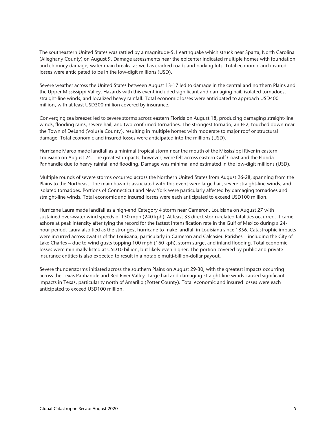The southeastern United States was rattled by a magnitude-5.1 earthquake which struck near Sparta, North Carolina (Alleghany County) on August 9. Damage assessments near the epicenter indicated multiple homes with foundation and chimney damage, water main breaks, as well as cracked roads and parking lots. Total economic and insured losses were anticipated to be in the low-digit millions (USD).

Severe weather across the United States between August 13-17 led to damage in the central and northern Plains and the Upper Mississippi Valley. Hazards with this event included significant and damaging hail, isolated tornadoes, straight-line winds, and localized heavy rainfall. Total economic losses were anticipated to approach USD400 million, with at least USD300 million covered by insurance.

Converging sea breezes led to severe storms across eastern Florida on August 18, producing damaging straight-line winds, flooding rains, severe hail, and two confirmed tornadoes. The strongest tornado, an EF2, touched down near the Town of DeLand (Volusia County), resulting in multiple homes with moderate to major roof or structural damage. Total economic and insured losses were anticipated into the millions (USD).

Hurricane Marco made landfall as a minimal tropical storm near the mouth of the Mississippi River in eastern Louisiana on August 24. The greatest impacts, however, were felt across eastern Gulf Coast and the Florida Panhandle due to heavy rainfall and flooding. Damage was minimal and estimated in the low-digit millions (USD).

Multiple rounds of severe storms occurred across the Northern United States from August 26-28, spanning from the Plains to the Northeast. The main hazards associated with this event were large hail, severe straight-line winds, and isolated tornadoes. Portions of Connecticut and New York were particularly affected by damaging tornadoes and straight-line winds. Total economic and insured losses were each anticipated to exceed USD100 million.

Hurricane Laura made landfall as a high-end Category 4 storm near Cameron, Louisiana on August 27 with sustained over-water wind speeds of 150 mph (240 kph). At least 33 direct storm-related fatalities occurred. It came ashore at peak intensity after tying the record for the fastest intensification rate in the Gulf of Mexico during a 24 hour period. Laura also tied as the strongest hurricane to make landfall in Louisiana since 1856. Catastrophic impacts were incurred across swaths of the Louisiana, particularly in Cameron and Calcasieu Parishes – including the City of Lake Charles – due to wind gusts topping 100 mph (160 kph), storm surge, and inland flooding. Total economic losses were minimally listed at USD10 billion, but likely even higher. The portion covered by public and private insurance entities is also expected to result in a notable multi-billion-dollar payout.

Severe thunderstorms initiated across the southern Plains on August 29-30, with the greatest impacts occurring across the Texas Panhandle and Red River Valley. Large hail and damaging straight-line winds caused significant impacts in Texas, particularity north of Amarillo (Potter County). Total economic and insured losses were each anticipated to exceed USD100 million.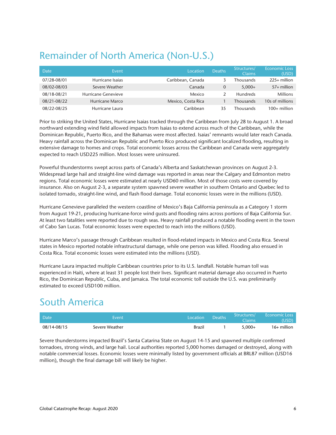### Remainder of North America (Non-U.S.)

| Date        | Event               | Location           | <b>Deaths</b> | Structures/<br>Claims | <b>Economic Loss</b><br>(USD) |
|-------------|---------------------|--------------------|---------------|-----------------------|-------------------------------|
| 07/28-08/01 | Hurricane Isaias    | Caribbean, Canada  |               | Thousands             | $225+$ million                |
| 08/02-08/03 | Severe Weather      | Canada             | $\Omega$      | $5,000+$              | $57+$ million                 |
| 08/18-08/21 | Hurricane Genevieve | Mexico             |               | <b>Hundreds</b>       | <b>Millions</b>               |
| 08/21-08/22 | Hurricane Marco     | Mexico, Costa Rica |               | Thousands             | 10s of millions               |
| 08/22-08/25 | Hurricane Laura     | Caribbean          | 35            | Thousands             | $100+$ million                |

Prior to striking the United States, Hurricane Isaias tracked through the Caribbean from July 28 to August 1. A broad northward extending wind field allowed impacts from Isaias to extend across much of the Caribbean, while the Dominican Republic, Puerto Rico, and the Bahamas were most affected. Isaias' remnants would later reach Canada. Heavy rainfall across the Dominican Republic and Puerto Rico produced significant localized flooding, resulting in extensive damage to homes and crops. Total economic losses across the Caribbean and Canada were aggregately expected to reach USD225 million. Most losses were uninsured.

Powerful thunderstorms swept across parts of Canada's Alberta and Saskatchewan provinces on August 2-3. Widespread large hail and straight-line wind damage was reported in areas near the Calgary and Edmonton metro regions. Total economic losses were estimated at nearly USD60 million. Most of those costs were covered by insurance. Also on August 2-3, a separate system spawned severe weather in southern Ontario and Quebec led to isolated tornado, straight-line wind, and flash flood damage. Total economic losses were in the millions (USD).

Hurricane Genevieve paralleled the western coastline of Mexico's Baja California peninsula as a Category 1 storm from August 19-21, producing hurricane-force wind gusts and flooding rains across portions of Baja California Sur. At least two fatalities were reported due to rough seas. Heavy rainfall produced a notable flooding event in the town of Cabo San Lucas. Total economic losses were expected to reach into the millions (USD).

Hurricane Marco's passage through Caribbean resulted in flood-related impacts in Mexico and Costa Rica. Several states in Mexico reported notable infrastructural damage, while one person was killed. Flooding also ensued in Costa Rica. Total economic losses were estimated into the millions (USD).

Hurricane Laura impacted multiple Caribbean countries prior to its U.S. landfall. Notable human toll was experienced in Haiti, where at least 31 people lost their lives. Significant material damage also occurred in Puerto Rico, the Dominican Republic, Cuba, and Jamaica. The total economic toll outside the U.S. was preliminarily estimated to exceed USD100 million.

### South America

| <b>Date</b> | Event          | Location      | <b>Deaths</b> | 'Structures/<br><b>Claims</b> | Economic Loss<br>(USD) |
|-------------|----------------|---------------|---------------|-------------------------------|------------------------|
| 08/14-08/15 | Severe Weather | <b>Brazil</b> |               | $5.000+$                      | $16+$ million          |

Severe thunderstorms impacted Brazil's Santa Catarina State on August 14-15 and spawned multiple confirmed tornadoes, strong winds, and large hail. Local authorities reported 5,000 homes damaged or destroyed, along with notable commercial losses. Economic losses were minimally listed by government officials at BRL87 million (USD16 million), though the final damage bill will likely be higher.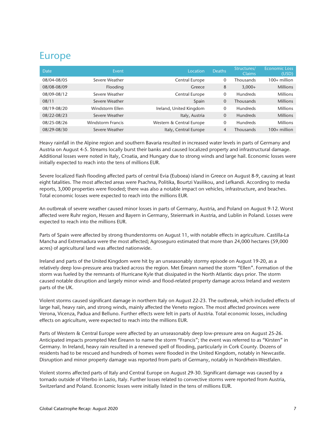### Europe

| <b>Date</b> | Event                    | Location                 | <b>Deaths</b> | Structures/<br><b>Claims</b> | <b>Economic Loss</b><br>(USD) |
|-------------|--------------------------|--------------------------|---------------|------------------------------|-------------------------------|
| 08/04-08/05 | Severe Weather           | Central Europe           | 0             | Thousands                    | $100+$ million                |
| 08/08-08/09 | Flooding                 | Greece                   | 8             | $3,000+$                     | <b>Millions</b>               |
| 08/09-08/12 | Severe Weather           | Central Europe           | $\Omega$      | <b>Hundreds</b>              | <b>Millions</b>               |
| 08/11       | Severe Weather           | Spain                    | $\Omega$      | <b>Thousands</b>             | <b>Millions</b>               |
| 08/19-08/20 | Windstorm Ellen          | Ireland, United Kingdom  | $\Omega$      | <b>Hundreds</b>              | <b>Millions</b>               |
| 08/22-08/23 | Severe Weather           | Italy, Austria           | $\Omega$      | <b>Hundreds</b>              | <b>Millions</b>               |
| 08/25-08/26 | <b>Windstorm Francis</b> | Western & Central Europe | $\Omega$      | <b>Hundreds</b>              | <b>Millions</b>               |
| 08/29-08/30 | Severe Weather           | Italy, Central Europe    | 4             | Thousands                    | $100+$ million                |

Heavy rainfall in the Alpine region and southern Bavaria resulted in increased water levels in parts of Germany and Austria on August 4-5. Streams locally burst their banks and caused localized property and infrastructural damage. Additional losses were noted in Italy, Croatia, and Hungary due to strong winds and large hail. Economic losses were initially expected to reach into the tens of millions EUR.

Severe localized flash flooding affected parts of central Evia (Euboea) island in Greece on August 8-9, causing at least eight fatalities. The most affected areas were Psachna, Politika, Bourtzi Vasilikou, and Lefkandi. According to media reports, 3,000 properties were flooded; there was also a notable impact on vehicles, infrastructure, and beaches. Total economic losses were expected to reach into the millions EUR.

An outbreak of severe weather caused minor losses in parts of Germany, Austria, and Poland on August 9-12. Worst affected were Ruhr region, Hessen and Bayern in Germany, Steiermark in Austria, and Lublin in Poland. Losses were expected to reach into the millions EUR.

Parts of Spain were affected by strong thunderstorms on August 11, with notable effects in agriculture. Castilla-La Mancha and Extremadura were the most affected; Agroseguro estimated that more than 24,000 hectares (59,000 acres) of agricultural land was affected nationwide.

Ireland and parts of the United Kingdom were hit by an unseasonably stormy episode on August 19-20, as a relatively deep low-pressure area tracked across the region. Met Éireann named the storm "Ellen". Formation of the storm was fueled by the remnants of Hurricane Kyle that dissipated in the North Atlantic days prior. The storm caused notable disruption and largely minor wind- and flood-related property damage across Ireland and western parts of the UK.

Violent storms caused significant damage in northern Italy on August 22-23. The outbreak, which included effects of large hail, heavy rain, and strong winds, mainly affected the Veneto region. The most affected provinces were Verona, Vicenza, Padua and Belluno. Further effects were felt in parts of Austria. Total economic losses, including effects on agriculture, were expected to reach into the millions EUR.

Parts of Western & Central Europe were affected by an unseasonably deep low-pressure area on August 25-26. Anticipated impacts prompted Met Éireann to name the storm "Francis"; the event was referred to as "Kirsten" in Germany. In Ireland, heavy rain resulted in a renewed spell of flooding, particularly in Cork County. Dozens of residents had to be rescued and hundreds of homes were flooded in the United Kingdom, notably in Newcastle. Disruption and minor property damage was reported from parts of Germany, notably in Nordrhein-Westfalen.

Violent storms affected parts of Italy and Central Europe on August 29-30. Significant damage was caused by a tornado outside of Viterbo in Lazio, Italy. Further losses related to convective storms were reported from Austria, Switzerland and Poland. Economic losses were initially listed in the tens of millions EUR.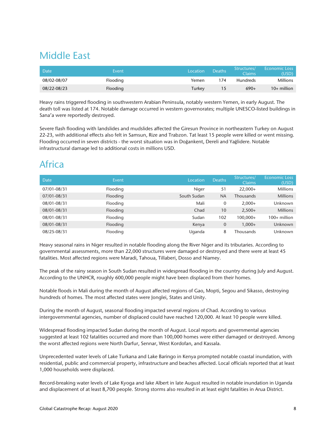### Middle East

| Date <sup>'</sup> | Event    | Location | Deaths | Structures/<br>Claims <sup>1</sup> | <b>Economic Loss</b><br>(USD). |
|-------------------|----------|----------|--------|------------------------------------|--------------------------------|
| 08/02-08/07       | Flooding | Yemen    | 174    | <b>Hundreds</b>                    | Millions                       |
| 08/22-08/23       | Flooding | Turkey   | 15     | $690+$                             | 10+ million                    |

Heavy rains triggered flooding in southwestern Arabian Peninsula, notably western Yemen, in early August. The death toll was listed at 174. Notable damage occurred in western governorates; multiple UNESCO-listed buildings in Sana'a were reportedly destroyed.

Severe flash flooding with landslides and mudslides affected the Giresun Province in northeastern Turkey on August 22-23, with additional effects also felt in Samsun, Rize and Trabzon. Tat least 15 people were killed or went missing. Flooding occurred in seven districts - the worst situation was in Doğankent, Dereli and Yağlidere. Notable infrastructural damage led to additional costs in millions USD.

### Africa

| <b>Date</b> | Event    | Location    | <b>Deaths</b> | Structures/<br><b>Claims</b> | <b>Economic Loss</b><br>(USD) |
|-------------|----------|-------------|---------------|------------------------------|-------------------------------|
| 07/01-08/31 | Flooding | Niger       | 51            | $22.000+$                    | <b>Millions</b>               |
| 07/01-08/31 | Flooding | South Sudan | <b>NA</b>     | <b>Thousands</b>             | <b>Millions</b>               |
| 08/01-08/31 | Flooding | Mali        | 0             | $2.000+$                     | Unknown                       |
| 08/01-08/31 | Flooding | Chad        | 10            | $2,500+$                     | <b>Millions</b>               |
| 08/01-08/31 | Flooding | Sudan       | 102           | 100,000+                     | $100+$ million                |
| 08/01-08/31 | Flooding | Kenya       | $\mathbf{0}$  | $1.000+$                     | Unknown                       |
| 08/25-08/31 | Flooding | Uganda      | 8             | <b>Thousands</b>             | Unknown                       |

Heavy seasonal rains in Niger resulted in notable flooding along the River Niger and its tributaries. According to governmental assessments, more than 22,000 structures were damaged or destroyed and there were at least 45 fatalities. Most affected regions were Maradi, Tahoua, Tillaberi, Dosso and Niamey.

The peak of the rainy season in South Sudan resulted in widespread flooding in the country during July and August. According to the UNHCR, roughly 600,000 people might have been displaced from their homes.

Notable floods in Mali during the month of August affected regions of Gao, Mopti, Segou and Sikasso, destroying hundreds of homes. The most affected states were Jonglei, States and Unity.

During the month of August, seasonal flooding impacted several regions of Chad. According to various intergovernmental agencies, number of displaced could have reached 120,000. At least 10 people were killed.

Widespread flooding impacted Sudan during the month of August. Local reports and governmental agencies suggested at least 102 fatalities occurred and more than 100,000 homes were either damaged or destroyed. Among the worst affected regions were North Darfur, Sennar, West Kordofan, and Kassala.

Unprecedented water levels of Lake Turkana and Lake Baringo in Kenya prompted notable coastal inundation, with residential, public and commercial property, infrastructure and beaches affected. Local officials reported that at least 1,000 households were displaced.

Record-breaking water levels of Lake Kyoga and lake Albert in late August resulted in notable inundation in Uganda and displacement of at least 8,700 people. Strong storms also resulted in at least eight fatalities in Arua District.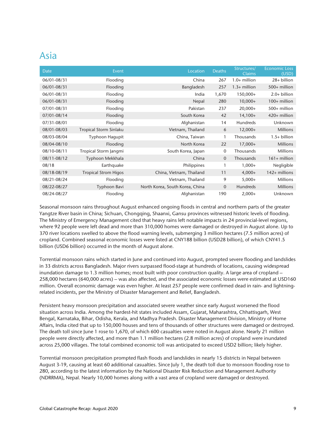### Asia

| <b>Date</b> | Event                       | Location                        | <b>Deaths</b>  | Structures/<br><b>Claims</b> | <b>Economic Loss</b><br>(USD) |
|-------------|-----------------------------|---------------------------------|----------------|------------------------------|-------------------------------|
| 06/01-08/31 | Flooding                    | China                           | 267            | $1.0+$ million               | 28+ billion                   |
| 06/01-08/31 | Flooding                    | Bangladesh                      | 257            | $1.3+$ million               | $500+$ million                |
| 06/01-08/31 | Flooding                    | India                           | 1,670          | 150,000+                     | $2.0+$ billion                |
| 06/01-08/31 | Flooding                    | Nepal                           | 280            | $10,000+$                    | $100+$ million                |
| 07/01-08/31 | Flooding                    | Pakistan                        | 237            | $20,000+$                    | 500+ million                  |
| 07/01-08/14 | Flooding                    | South Korea                     | 42             | $14,100+$                    | 420+ million                  |
| 07/31-08/01 | Flooding                    | Afghanistan                     | 14             | <b>Hundreds</b>              | Unknown                       |
| 08/01-08/03 | Tropical Storm Sinlaku      | Vietnam, Thailand               | 6              | $12,000+$                    | <b>Millions</b>               |
| 08/03-08/04 | Typhoon Hagupit             | China, Taiwan                   | 1              | Thousands                    | $1.5+$ billion                |
| 08/04-08/10 | Flooding                    | North Korea                     | 22             | $17,000+$                    | <b>Millions</b>               |
| 08/10-08/11 | Tropical Storm Jangmi       | South Korea, Japan              | $\mathbf 0$    | Thousands                    | <b>Millions</b>               |
| 08/11-08/12 | Typhoon Mekkhala            | China                           | $\overline{0}$ | Thousands                    | $161 +$ million               |
| 08/18       | Earthquake                  | Philippines                     |                | $1,000+$                     | Negligible                    |
| 08/18-08/19 | <b>Tropical Strom Higos</b> | China, Vietnam, Thailand        | 11             | $4,000+$                     | 142+ millions                 |
| 08/21-08/24 | Flooding                    | Vietnam, Thailand               | 9              | $5,000+$                     | <b>Millions</b>               |
| 08/22-08/27 | Typhoon Bavi                | North Korea, South Korea, China | $\overline{0}$ | Hundreds                     | <b>Millions</b>               |
| 08/24-08/27 | Flooding                    | Afghanistan                     | 190            | $2,000+$                     | Unknown                       |

Seasonal monsoon rains throughout August enhanced ongoing floods in central and northern parts of the greater Yangtze River basin in China; Sichuan, Chongqing, Shaanxi, Gansu provinces witnessed historic levels of flooding. The Ministry of Emergency Management cited that heavy rains left notable impacts in 24 provincial-level regions, where 92 people were left dead and more than 310,000 homes were damaged or destroyed in August alone. Up to 370 river locations swelled to above the flood warning levels, submerging 3 million hectares (7.5 million acres) of cropland. Combined seasonal economic losses were listed at CNY188 billion (USD28 billion), of which CNY41.5 billion (USD6 billion) occurred in the month of August alone.

Torrential monsoon rains which started in June and continued into August, prompted severe flooding and landslides in 33 districts across Bangladesh. Major rivers surpassed flood-stage at hundreds of locations, causing widespread inundation damage to 1.3 million homes; most built with poor construction quality. A large area of cropland – 258,000 hectares (640,000 acres) – was also affected, and the associated economic losses were estimated at USD160 million. Overall economic damage was even higher. At least 257 people were confirmed dead in rain- and lightningrelated incidents, per the Ministry of Disaster Management and Relief, Bangladesh.

Persistent heavy monsoon precipitation and associated severe weather since early August worsened the flood situation across India. Among the hardest-hit states included Assam, Gujarat, Maharashtra, Chhattisgarh, West Bengal, Karnataka, Bihar, Odisha, Kerala, and Madhya Pradesh. Disaster Management Division, Ministry of Home Affairs, India cited that up to 150,000 houses and tens of thousands of other structures were damaged or destroyed. The death toll since June 1 rose to 1,670, of which 600 casualties were noted in August alone. Nearly 21 million people were directly affected, and more than 1.1 million hectares (2.8 million acres) of cropland were inundated across 25,000 villages. The total combined economic toll was anticipated to exceed USD2 billion; likely higher.

Torrential monsoon precipitation prompted flash floods and landslides in nearly 15 districts in Nepal between August 3-19, causing at least 60 additional casualties. Since July 1, the death toll due to monsoon flooding rose to 280, according to the latest information by the National Disaster Risk Reduction and Management Authority (NDRRMA), Nepal. Nearly 10,000 homes along with a vast area of cropland were damaged or destroyed.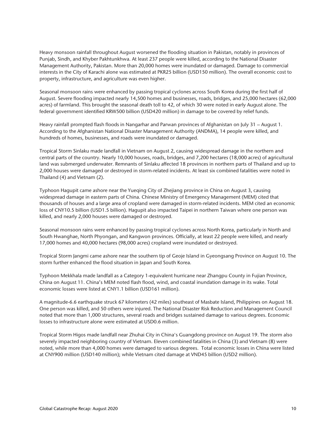Heavy monsoon rainfall throughout August worsened the flooding situation in Pakistan, notably in provinces of Punjab, Sindh, and Khyber Pakhtunkhwa. At least 237 people were killed, according to the National Disaster Management Authority, Pakistan. More than 20,000 homes were inundated or damaged. Damage to commercial interests in the City of Karachi alone was estimated at PKR25 billion (USD150 million). The overall economic cost to property, infrastructure, and agriculture was even higher.

Seasonal monsoon rains were enhanced by passing tropical cyclones across South Korea during the first half of August. Severe flooding impacted nearly 14,500 homes and businesses, roads, bridges, and 25,000 hectares (62,000 acres) of farmland. This brought the seasonal death toll to 42, of which 30 were noted in early August alone. The federal government identified KRW500 billion (USD420 million) in damage to be covered by relief funds.

Heavy rainfall prompted flash floods in Nangarhar and Parwan provinces of Afghanistan on July 31 – August 1. According to the Afghanistan National Disaster Management Authority (ANDMA), 14 people were killed, and hundreds of homes, businesses, and roads were inundated or damaged.

Tropical Storm Sinlaku made landfall in Vietnam on August 2, causing widespread damage in the northern and central parts of the country. Nearly 10,000 houses, roads, bridges, and 7,200 hectares (18,000 acres) of agricultural land was submerged underwater. Remnants of Sinlaku affected 18 provinces in northern parts of Thailand and up to 2,000 houses were damaged or destroyed in storm-related incidents. At least six combined fatalities were noted in Thailand (4) and Vietnam (2).

Typhoon Hagupit came ashore near the Yueqing City of Zhejiang province in China on August 3, causing widespread damage in eastern parts of China. Chinese Ministry of Emergency Management (MEM) cited that thousands of houses and a large area of cropland were damaged in storm-related incidents. MEM cited an economic loss of CNY10.5 billion (USD1.5 billion). Hagupit also impacted Taipei in northern Taiwan where one person was killed, and nearly 2,000 houses were damaged or destroyed.

Seasonal monsoon rains were enhanced by passing tropical cyclones across North Korea, particularly in North and South Hwanghae, North Phyongan, and Kangwon provinces. Officially, at least 22 people were killed, and nearly 17,000 homes and 40,000 hectares (98,000 acres) cropland were inundated or destroyed.

Tropical Storm Jangmi came ashore near the southern tip of Geoje Island in Gyeongsang Province on August 10. The storm further enhanced the flood situation in Japan and South Korea.

Typhoon Mekkhala made landfall as a Category 1-equivalent hurricane near Zhangpu County in Fujian Province, China on August 11. China's MEM noted flash flood, wind, and coastal inundation damage in its wake. Total economic losses were listed at CNY1.1 billion (USD161 million).

A magnitude-6.6 earthquake struck 67 kilometers (42 miles) southeast of Masbate Island, Philippines on August 18. One person was killed, and 50 others were injured. The National Disaster Risk Reduction and Management Council noted that more than 1,000 structures, several roads and bridges sustained damage to various degrees. Economic losses to infrastructure alone were estimated at USD0.6 million.

Tropical Storm Higos made landfall near Zhuhai City in China's Guangdong province on August 19. The storm also severely impacted neighboring country of Vietnam. Eleven combined fatalities in China (3) and Vietnam (8) were noted, while more than 4,000 homes were damaged to various degrees. Total economic losses in China were listed at CNY900 million (USD140 million); while Vietnam cited damage at VND45 billion (USD2 million).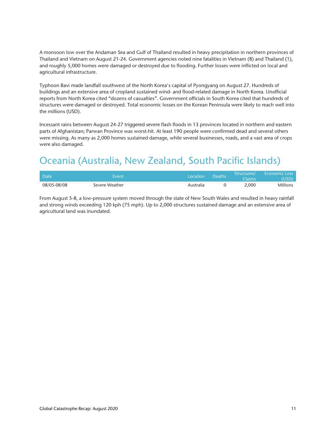A monsoon low over the Andaman Sea and Gulf of Thailand resulted in heavy precipitation in northern provinces of Thailand and Vietnam on August 21-24. Government agencies noted nine fatalities in Vietnam (8) and Thailand (1), and roughly 5,000 homes were damaged or destroyed due to flooding. Further losses were inflicted on local and agricultural infrastructure.

Typhoon Bavi made landfall southwest of the North Korea's capital of Pyongyang on August 27. Hundreds of buildings and an extensive area of cropland sustained wind- and flood-related damage in North Korea. Unofficial reports from North Korea cited "dozens of casualties". Government officials in South Korea cited that hundreds of structures were damaged or destroyed. Total economic losses on the Korean Peninsula were likely to reach well into the millions (USD).

Incessant rains between August 24-27 triggered severe flash floods in 13 provinces located in northern and eastern parts of Afghanistan; Parwan Province was worst-hit. At least 190 people were confirmed dead and several others were missing. As many as 2,000 homes sustained damage, while several businesses, roads, and a vast area of crops were also damaged.

## Oceania (Australia, New Zealand, South Pacific Islands)

| Date        | Event          | Location  | <b>Deaths</b> | <b>Claims</b> | Structures/ Economic Loss<br>(USD) \ |
|-------------|----------------|-----------|---------------|---------------|--------------------------------------|
| 08/05-08/08 | Severe Weather | Australia |               | 2,000         | <b>Millions</b>                      |

From August 5-8, a low-pressure system moved through the state of New South Wales and resulted in heavy rainfall and strong winds exceeding 120 kph (75 mph). Up to 2,000 structures sustained damage and an extensive area of agricultural land was inundated.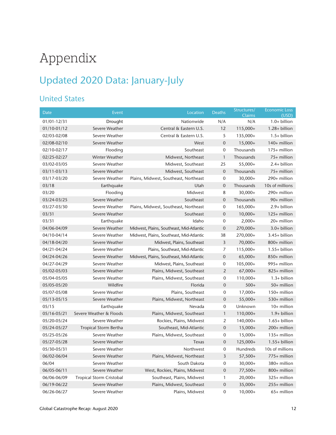## Appendix

## Updated 2020 Data: January-July

#### United States

| <b>Date</b>     | Event                           | Location                                 | Deaths           | Structures/<br><b>Claims</b> | <b>Economic Loss</b><br>(USD) |
|-----------------|---------------------------------|------------------------------------------|------------------|------------------------------|-------------------------------|
| $01/01 - 12/31$ | Drought                         | Nationwide                               | N/A              | N/A                          | $1.0+$ billion                |
| 01/10-01/12     | Severe Weather                  | Central & Eastern U.S.                   | 12               | 115,000+                     | $1.28 + billion$              |
| 02/03-02/08     | Severe Weather                  | Central & Eastern U.S.                   | 5                | 135,000+                     | $1.5+$ billion                |
| 02/08-02/10     | Severe Weather                  | West                                     | $\boldsymbol{0}$ | $15,000+$                    | 140+ million                  |
| 02/10-02/17     | Flooding                        | Southeast                                | 0                | Thousands                    | 175+ million                  |
| 02/25-02/27     | <b>Winter Weather</b>           | Midwest, Northeast                       | $\mathbf{1}$     | Thousands                    | 75+ million                   |
| 03/02-03/05     | Severe Weather                  | Midwest, Southeast                       | 25               | $55,000+$                    | 2.4+ billion                  |
| 03/11-03/13     | Severe Weather                  | Midwest, Southeast                       | $\mathbf 0$      | Thousands                    | 75+ million                   |
| 03/17-03/20     | Severe Weather                  | Plains, Midwest, Southeast, Northeast    | 0                | $30,000+$                    | 290+ million                  |
| 03/18           | Earthquake                      | Utah                                     | $\overline{0}$   | Thousands                    | 10s of millions               |
| 03/20           | Flooding                        | Midwest                                  | 8                | $30,000+$                    | 290+ million                  |
| 03/24-03/25     | Severe Weather                  | Southeast                                | $\mathbf 0$      | Thousands                    | 90+ million                   |
| 03/27-03/30     | Severe Weather                  | Plains, Midwest, Southeast, Northeast    | $\mathbf 0$      | $165,000+$                   | $2.9+$ billion                |
| 03/31           | Severe Weather                  | Southeast                                | $\mathbf 0$      | $10,000+$                    | 125+ million                  |
| 03/31           | Earthquake                      | Idaho                                    | 0                | $2,000+$                     | 20+ million                   |
| 04/06-04/09     | Severe Weather                  | Midwest, Plains, Southeast, Mid-Atlantic | $\boldsymbol{0}$ | 270,000+                     | 3.0+ billion                  |
| 04/10-04/14     | Severe Weather                  | Midwest, Plains, Southeast, Mid-Atlantic | 38               | 270,000+                     | $3.45+$ billion               |
| 04/18-04/20     | Severe Weather                  | Midwest, Plains, Southeast               | 3                | $70,000+$                    | 800+ million                  |
| 04/21-04/24     | Severe Weather                  | Plains, Southeast, Mid-Atlantic          | 7                | 115,000+                     | $1.55+$ billion               |
| 04/24-04/26     | Severe Weather                  | Midwest, Plains, Southeast, Mid-Atlantic | $\mathbf 0$      | $65,000+$                    | 850+ million                  |
| 04/27-04/29     | Severe Weather                  | Midwest, Plains, Southeast               | 0                | 105,000+                     | 995+ million                  |
| 05/02-05/03     | Severe Weather                  | Plains, Midwest, Southeast               | $\overline{2}$   | $67,000+$                    | 825+ million                  |
| 05/04-05/05     | Severe Weather                  | Plains, Midwest, Southeast               | 0                | 110,000+                     | $1.3+$ billion                |
| 05/05-05/20     | Wildfire                        | Florida                                  | $\mathbf 0$      | $500+$                       | 50+ million                   |
| 05/07-05/08     | Severe Weather                  | Plains, Southeast                        | $\boldsymbol{0}$ | $17,000+$                    | 150+ million                  |
| $05/13 - 05/15$ | Severe Weather                  | Plains, Midwest, Northeast               | $\boldsymbol{0}$ | $55,000+$                    | 530+ million                  |
| 05/15           | Earthquake                      | Nevada                                   | 0                | Unknown                      | 10+ million                   |
| 05/16-05/21     | Severe Weather & Floods         | Plains, Midwest, Southeast               | $\mathbf{1}$     | 110,000+                     | $1.9+$ billion                |
| 05/20-05/24     | Severe Weather                  | Rockies, Plains, Midwest                 | 2                | 140,000+                     | $1.65 + billion$              |
| 05/24-05/27     | <b>Tropical Storm Bertha</b>    | Southeast, Mid-Atlantic                  | $\boldsymbol{0}$ | $15,000+$                    | 200+ million                  |
| 05/25-05/26     | Severe Weather                  | Plains, Midwest, Southeast               | 0                | $15,000+$                    | 135+ million                  |
| 05/27-05/28     | Severe Weather                  | Texas                                    | $\mathbf 0$      | 125,000+                     | $1.55+$ billion               |
| 05/30-05/31     | Severe Weather                  | Northwest                                | 0                | Hundreds                     | 10s of millions               |
| 06/02-06/04     | Severe Weather                  | Plains, Midwest, Northeast               | 3                | $57,500+$                    | 775+ million                  |
| 06/04           | Severe Weather                  | South Dakota                             | 0                | $30,000+$                    | 380+ million                  |
| 06/05-06/11     | Severe Weather                  | West, Rockies, Plains, Midwest           | $\boldsymbol{0}$ | 77,500+                      | 800+ million                  |
| 06/06-06/09     | <b>Tropical Storm Cristobal</b> | Southeast, Plains, Midwest               | 1                | $20,000+$                    | 325+ million                  |
| 06/19-06/22     | Severe Weather                  | Plains, Midwest, Southeast               | $\mathbf 0$      | 35,000+                      | 255+ million                  |
| 06/26-06/27     | Severe Weather                  | Plains, Midwest                          | $\mathbf 0$      | $10,000+$                    | 65+ million                   |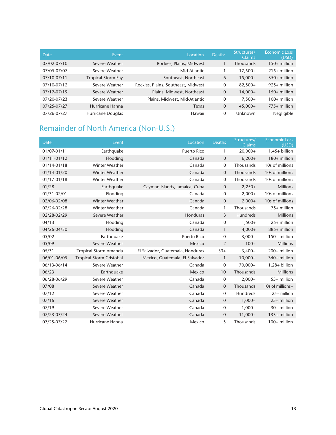| Date        | Event                     | Location                            | <b>Deaths</b>  | Structures/<br><b>Claims</b> | <b>Economic Loss</b><br>(USD) |
|-------------|---------------------------|-------------------------------------|----------------|------------------------------|-------------------------------|
| 07/02-07/10 | Severe Weather            | Rockies, Plains, Midwest            |                | Thousands                    | $150+$ million                |
| 07/05-07/07 | Severe Weather            | Mid-Atlantic                        |                | 17,500+                      | $215+$ million                |
| 07/10-07/11 | <b>Tropical Storm Fay</b> | Southeast, Northeast                | 6              | $15,000+$                    | $350+$ million                |
| 07/10-07/12 | Severe Weather            | Rockies, Plains, Southeast, Midwest | $\mathbf 0$    | 82,500+                      | $925+$ million                |
| 07/17-07/19 | Severe Weather            | Plains, Midwest, Northeast          | $\overline{0}$ | $14,000+$                    | $150+$ million                |
| 07/20-07/23 | Severe Weather            | Plains, Midwest, Mid-Atlantic       | 0              | $7,500+$                     | $100+$ million                |
| 07/25-07/27 | Hurricane Hanna           | Texas                               | $\mathbf{0}$   | $45,000+$                    | 775+ million                  |
| 07/26-07/27 | Hurricane Douglas         | Hawaii                              | $\Omega$       | Unknown                      | Negligible                    |

#### Remainder of North America (Non-U.S.)

| Date            | Event                           | Location                         | <b>Deaths</b>    | Structures/<br><b>Claims</b> | <b>Economic Loss</b><br>(USD) |
|-----------------|---------------------------------|----------------------------------|------------------|------------------------------|-------------------------------|
| 01/07-01/11     | Earthquake                      | <b>Puerto Rico</b>               | $\mathbf{1}$     | $20,000+$                    | $1.45+$ billion               |
| $01/11 - 01/12$ | Flooding                        | Canada                           | $\mathbf{0}$     | $6,200+$                     | 180+ million                  |
| 01/14-01/18     | <b>Winter Weather</b>           | Canada                           | 0                | Thousands                    | 10s of millions               |
| 01/14-01/20     | <b>Winter Weather</b>           | Canada                           | $\mathbf{0}$     | Thousands                    | 10s of millions               |
| 01/17-01/18     | <b>Winter Weather</b>           | Canada                           | 0                | Thousands                    | 10s of millions               |
| 01/28           | Earthquake                      | Cayman Islands, Jamaica, Cuba    | $\boldsymbol{0}$ | $2,250+$                     | <b>Millions</b>               |
| 01/31-02/01     | Flooding                        | Canada                           | $\mathbf 0$      | $2,000+$                     | 10s of millions               |
| 02/06-02/08     | Winter Weather                  | Canada                           | $\mathbf{0}$     | $2,000+$                     | 10s of millions               |
| 02/26-02/28     | <b>Winter Weather</b>           | Canada                           | 1                | Thousands                    | 75+ million                   |
| 02/28-02/29     | Severe Weather                  | Honduras                         | 3                | Hundreds                     | <b>Millions</b>               |
| 04/13           | Flooding                        | Canada                           | 0                | $1,500+$                     | $25+$ million                 |
| 04/26-04/30     | Flooding                        | Canada                           | $\mathbf{1}$     | $4,000+$                     | 885+ million                  |
| 05/02           | Earthquake                      | <b>Puerto Rico</b>               | 0                | $3,000+$                     | 150+ million                  |
| 05/09           | Severe Weather                  | Mexico                           | $\overline{2}$   | $100+$                       | <b>Millions</b>               |
| 05/31           | Tropical Storm Amanda           | El Salvador, Guatemala, Honduras | $33+$            | $3,400+$                     | 200+ million                  |
| 06/01-06/05     | <b>Tropical Storm Cristobal</b> | Mexico, Guatemala, El Salvador   | 1                | $10,000+$                    | 340+ million                  |
| 06/13-06/14     | Severe Weather                  | Canada                           | $\mathbf 0$      | 70,000+                      | $1.28 + billion$              |
| 06/23           | Earthquake                      | Mexico                           | 10               | Thousands                    | <b>Millions</b>               |
| 06/28-06/29     | Severe Weather                  | Canada                           | $\mathbf 0$      | $2,000+$                     | 55+ million                   |
| 07/08           | Severe Weather                  | Canada                           | $\mathbf{0}$     | Thousands                    | 10s of millions+              |
| 07/12           | Severe Weather                  | Canada                           | $\mathbf{0}$     | <b>Hundreds</b>              | 25+ million                   |
| 07/16           | Severe Weather                  | Canada                           | $\overline{0}$   | $1,000+$                     | 25+ million                   |
| 07/19           | Severe Weather                  | Canada                           | $\mathbf 0$      | $1,000+$                     | 30+ million                   |
| 07/23-07/24     | Severe Weather                  | Canada                           | $\mathbf{0}$     | $11,000+$                    | 133+ million                  |
| 07/25-07/27     | Hurricane Hanna                 | Mexico                           | 5                | Thousands                    | 100+ million                  |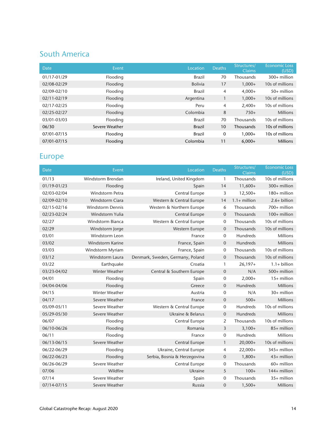#### South America

| Date        | Event          | Location       | <b>Deaths</b> | Structures/<br>Claims | <b>Economic Loss</b><br>(USD) |
|-------------|----------------|----------------|---------------|-----------------------|-------------------------------|
| 01/17-01/29 | Flooding       | <b>Brazil</b>  | 70            | Thousands             | $300+$ million                |
| 02/08-02/29 | Flooding       | <b>Bolivia</b> | 17            | $1.000+$              | 10s of millions               |
| 02/09-02/10 | Flooding       | <b>Brazil</b>  | 4             | $4,000+$              | $50+$ million                 |
| 02/11-02/19 | Flooding       | Argentina      |               | $1,000+$              | 10s of millions               |
| 02/17-02/25 | Flooding       | Peru           | 4             | $2.400+$              | 10s of millions               |
| 02/25-02/27 | Flooding       | Colombia       | 8             | $750+$                | <b>Millions</b>               |
| 03/01-03/03 | Flooding       | Brazil         | 70            | Thousands             | 10s of millions               |
| 06/30       | Severe Weather | <b>Brazil</b>  | 10            | Thousands             | 10s of millions               |
| 07/01-07/15 | Flooding       | Brazil         | $\mathbf 0$   | $1.000+$              | 10s of millions               |
| 07/01-07/15 | Flooding       | Colombia       | 11            | $6,000+$              | <b>Millions</b>               |

#### Europe

| Date        | Event                   | Location                         | <b>Deaths</b>    | Structures/<br>Claims | <b>Economic Loss</b><br>(USD) |
|-------------|-------------------------|----------------------------------|------------------|-----------------------|-------------------------------|
| 01/13       | Windstorm Brendan       | Ireland, United Kingdom          | $\mathbf{1}$     | Thousands             | 10s of millions               |
| 01/19-01/23 | Flooding                | Spain                            | 14               | $11,600+$             | 300+ million                  |
| 02/03-02/04 | Windstorm Petra         | Central Europe                   | 3                | $12,500+$             | 180+ million                  |
| 02/09-02/10 | Windstorm Ciara         | Western & Central Europe         | 14               | $1.1+$ million        | $2.6+$ billion                |
| 02/15-02/16 | <b>Windstorm Dennis</b> | Western & Northern Europe        | 6                | Thousands             | 700+ million                  |
| 02/23-02/24 | Windstorm Yulia         | Central Europe                   | $\mathbf 0$      | Thousands             | 100+ million                  |
| 02/27       | <b>Windstorm Bianca</b> | Western & Central Europe         | 0                | Thousands             | 10s of millions               |
| 02/29       | Windstorm Jorge         | Western Europe                   | $\mathbf 0$      | Thousands             | 10s of millions               |
| 03/01       | Windstorm Leon          | France                           | $\mathbf 0$      | Hundreds              | <b>Millions</b>               |
| 03/02       | Windstorm Karine        | France, Spain                    | 0                | Hundreds              | <b>Millions</b>               |
| 03/03       | Windstorm Myriam        | France, Spain                    | 0                | Thousands             | 10s of millions               |
| 03/12       | Windstorm Laura         | Denmark, Sweden, Germany, Poland | $\mathbf 0$      | Thousands             | 10s of millions               |
| 03/22       | Earthquake              | Croatia                          | $\mathbf{1}$     | $26,197+$             | $1.1+$ billion                |
| 03/23-04/02 | <b>Winter Weather</b>   | Central & Southern Europe        | $\mathbf 0$      | N/A                   | 500+ million                  |
| 04/01       | Flooding                | Spain                            | 0                | $2,000+$              | $15+$ million                 |
| 04/04-04/06 | Flooding                | Greece                           | $\boldsymbol{0}$ | Hundreds              | <b>Millions</b>               |
| 04/15       | <b>Winter Weather</b>   | Austria                          | $\mathbf 0$      | N/A                   | 30+ million                   |
| 04/17       | Severe Weather          | France                           | $\mathbf{0}$     | $500+$                | <b>Millions</b>               |
| 05/09-05/11 | Severe Weather          | Western & Central Europe         | $\mathbf 0$      | Hundreds              | 10s of millions               |
| 05/29-05/30 | Severe Weather          | Ukraine & Belarus                | $\mathbf 0$      | Hundreds              | <b>Millions</b>               |
| 06/07       | Flooding                | Central Europe                   | $\overline{2}$   | Thousands             | 10s of millions               |
| 06/10-06/26 | Flooding                | Romania                          | $\overline{3}$   | $3,100+$              | 85+ million                   |
| 06/11       | Flooding                | France                           | $\mathbf 0$      | Hundreds              | Millions                      |
| 06/13-06/15 | Severe Weather          | Central Europe                   | $\mathbf{1}$     | $20,000+$             | 10s of millions               |
| 06/22-06/29 | Flooding                | Ukraine, Central Europe          | $\overline{4}$   | $22,000+$             | 345+ million                  |
| 06/22-06/23 | Flooding                | Serbia, Bosnia & Herzegovina     | $\mathbf{0}$     | $1,800+$              | 43+ million                   |
| 06/26-06/29 | Severe Weather          | Central Europe                   | 0                | Thousands             | 60+ million                   |
| 07/06       | Wildfire                | Ukraine                          | 5                | $100+$                | 144+ million                  |
| 07/14       | Severe Weather          | Spain                            | 0                | Thousands             | 35+ million                   |
| 07/14-07/15 | Severe Weather          | Russia                           | $\mathbf 0$      | $1,500+$              | <b>Millions</b>               |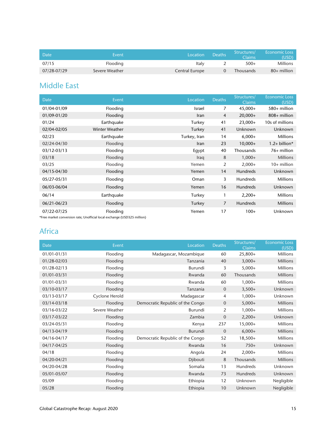| Date        | Event          | Location       | <b>Deaths</b> | Structures/<br>Claims | Economic Loss<br>(USD). |
|-------------|----------------|----------------|---------------|-----------------------|-------------------------|
| 07/15       | Flooding       | Italy          |               | $500+$                | <b>Millions</b>         |
| 07/28-07/29 | Severe Weather | Central Europe |               | <b>Thousands</b>      | 80+ million             |

#### Middle East

| <b>Date</b> | Event                                                                                | Location      | <b>Deaths</b>  | Structures/<br><b>Claims</b> | <b>Economic Loss</b><br>(USD) |
|-------------|--------------------------------------------------------------------------------------|---------------|----------------|------------------------------|-------------------------------|
| 01/04-01/09 | Flooding                                                                             | <b>Israel</b> | 7              | $45,000+$                    | 580+ million                  |
| 01/09-01/20 | Flooding                                                                             | Iran          | 4              | $20,000+$                    | 808+ million                  |
| 01/24       | Earthquake                                                                           | Turkey        | 41             | $23,000+$                    | 10s of millions               |
| 02/04-02/05 | <b>Winter Weather</b>                                                                | Turkey        | 41             | <b>Unknown</b>               | Unknown                       |
| 02/23       | Earthquake                                                                           | Turkey, Iran  | 14             | $6,000+$                     | <b>Millions</b>               |
| 02/24-04/30 | Flooding                                                                             | Iran          | 23             | $10,000+$                    | $1.2+$ billion*               |
| 03/12-03/13 | Flooding                                                                             | Egypt         | 40             | Thousands                    | 76+ million                   |
| 03/18       | Flooding                                                                             | Iraq          | 8              | $1,000+$                     | <b>Millions</b>               |
| 03/25       | Flooding                                                                             | Yemen         | 2              | $2,000+$                     | $10+$ million                 |
| 04/15-04/30 | Flooding                                                                             | Yemen         | 14             | <b>Hundreds</b>              | Unknown                       |
| 05/27-05/31 | Flooding                                                                             | Oman          | 3              | <b>Hundreds</b>              | <b>Millions</b>               |
| 06/03-06/04 | Flooding                                                                             | Yemen         | 16             | <b>Hundreds</b>              | Unknown                       |
| 06/14       | Earthquake                                                                           | Turkey        | 1              | $2,200+$                     | <b>Millions</b>               |
| 06/21-06/23 | Flooding                                                                             | Turkey        | $\overline{7}$ | <b>Hundreds</b>              | <b>Millions</b>               |
| 07/22-07/25 | Flooding<br>*Erge market conversion rate: Unofficial local exchange (USD325 million) | Yemen         | 17             | $100+$                       | Unknown                       |

#### \*Free market conversion rate; Unofficial local exchange (USD325 million)

#### Africa

| <b>Date</b>     | Event          | Location                         | <b>Deaths</b>  | Structures/<br>Claims | <b>Economic Loss</b><br>(USD) |
|-----------------|----------------|----------------------------------|----------------|-----------------------|-------------------------------|
| 01/01-01/31     | Flooding       | Madagascar, Mozambique           | 60             | 25,800+               | <b>Millions</b>               |
| 01/28-02/03     | Flooding       | Tanzania                         | 40             | $3,000+$              | <b>Millions</b>               |
| $01/28 - 02/13$ | Flooding       | Burundi                          | 3              | $5,000+$              | <b>Millions</b>               |
| $01/01 - 03/31$ | Flooding       | Rwanda                           | 60             | Thousands             | <b>Millions</b>               |
| $01/01 - 03/31$ | Flooding       | Rwanda                           | 60             | $1,000+$              | <b>Millions</b>               |
| 03/10-03/17     | Flooding       | Tanzania                         | $\overline{0}$ | $3,500+$              | Unknown                       |
| 03/13-03/17     | Cyclone Herold | Madagascar                       | 4              | $1,000+$              | Unknown                       |
| 03/14-03/18     | Flooding       | Democratic Republic of the Congo | $\mathbf 0$    | $5,000+$              | <b>Millions</b>               |
| 03/16-03/22     | Severe Weather | Burundi                          | 2              | $1,000+$              | <b>Millions</b>               |
| 03/17-03/22     | Flooding       | Zambia                           | $\mathbf 0$    | $2,200+$              | Unknown                       |
| 03/24-05/31     | Flooding       | Kenya                            | 237            | $15,000+$             | <b>Millions</b>               |
| 04/13-04/19     | Flooding       | Burundi                          | $\mathbf{0}$   | $6,000+$              | <b>Millions</b>               |
| 04/16-04/17     | Flooding       | Democratic Republic of the Congo | 52             | $18,500+$             | <b>Millions</b>               |
| 04/17-04/25     | Flooding       | Rwanda                           | 16             | $750+$                | Unknown                       |
| 04/18           | Flooding       | Angola                           | 24             | $2,000+$              | <b>Millions</b>               |
| 04/20-04/21     | Flooding       | Djibouti                         | 8              | Thousands             | <b>Millions</b>               |
| 04/20-04/28     | Flooding       | Somalia                          | 13             | Hundreds              | Unknown                       |
| 05/01-05/07     | Flooding       | Rwanda                           | 73             | <b>Hundreds</b>       | Unknown                       |
| 05/09           | Flooding       | Ethiopia                         | 12             | Unknown               | Negligible                    |
| 05/28           | Flooding       | Ethiopia                         | 10             | Unknown               | Negligible                    |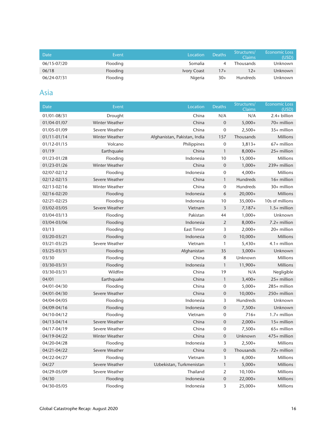| Date        | Event    | Location           | Deaths <sup>1</sup> | Structures/<br>Claims | <b>Economic Loss</b><br>(USD) |
|-------------|----------|--------------------|---------------------|-----------------------|-------------------------------|
| 06/15-07/20 | Flooding | Somalia            |                     | <b>Thousands</b>      | Unknown                       |
| 06/18       | Flooding | <b>Ivory Coast</b> | $17+$               | $12+$                 | Unknown                       |
| 06/24-07/31 | Flooding | Nigeria            | $30+$               | <b>Hundreds</b>       | Unknown                       |

#### Asia

| <b>Date</b> | Event                 | Location                     | <b>Deaths</b>       | Structures/<br>Claims | <b>Economic Loss</b><br>(USD) |
|-------------|-----------------------|------------------------------|---------------------|-----------------------|-------------------------------|
| 01/01-08/31 | Drought               | China                        | N/A                 | N/A                   | $2.4+$ billion                |
| 01/04-01/07 | Winter Weather        | China                        | $\mathbf{0}$        | $5,000+$              | 70+ million                   |
| 01/05-01/09 | Severe Weather        | China                        | 0                   | $2,500+$              | $35+$ million                 |
| 01/11-01/14 | Winter Weather        | Afghanistan, Pakistan, India | 157                 | Thousands             | <b>Millions</b>               |
| 01/12-01/15 | Volcano               | Philippines                  | $\mathbf 0$         | $3,813+$              | 67+ million                   |
| 01/19       | Earthquake            | China                        | $\mathbf{1}$        | $8,000+$              | 25+ million                   |
| 01/23-01/28 | Flooding              | Indonesia                    | 10                  | $15,000+$             | <b>Millions</b>               |
| 01/23-01/26 | <b>Winter Weather</b> | China                        | $\boldsymbol{0}$    | $1,000+$              | 239+ million                  |
| 02/07-02/12 | Flooding              | Indonesia                    | 0                   | $4,000+$              | Millions                      |
| 02/12-02/15 | Severe Weather        | China                        | $\mathbf{1}$        | Hundreds              | $16+$ million                 |
| 02/13-02/16 | Winter Weather        | China                        | 0                   | Hundreds              | 30+ million                   |
| 02/16-02/20 | Flooding              | Indonesia                    | 6                   | $20,000+$             | <b>Millions</b>               |
| 02/21-02/25 | Flooding              | Indonesia                    | 10                  | $35,000+$             | 10s of millions               |
| 03/02-03/05 | Severe Weather        | Vietnam                      | 3                   | $7,187+$              | $1.5+$ million                |
| 03/04-03/13 | Flooding              | Pakistan                     | 44                  | $1,000+$              | Unknown                       |
| 03/04-03/06 | Flooding              | Indonesia                    | 2                   | $8,000+$              | $7.2+$ million                |
| 03/13       | Flooding              | <b>East Timor</b>            | 3                   | $2,000+$              | 20+ million                   |
| 03/20-03/21 | Flooding              | Indonesia                    | $\boldsymbol{0}$    | $10,000+$             | <b>Millions</b>               |
| 03/21-03/25 | Severe Weather        | Vietnam                      | $\mathbf{1}$        | $5,430+$              | $4.1+$ million                |
| 03/25-03/31 | Flooding              | Afghanistan                  | 35                  | $3,000+$              | Unknown                       |
| 03/30       | Flooding              | China                        | 8                   | Unknown               | Millions                      |
| 03/30-03/31 | Flooding              | Indonesia                    | $\mathbf{1}$        | $11,900+$             | <b>Millions</b>               |
| 03/30-03/31 | Wildfire              | China                        | 19                  | N/A                   | Negligible                    |
| 04/01       | Earthquake            | China                        | $\mathbf{1}$        | $3,400+$              | $25+$ million                 |
| 04/01-04/30 | Flooding              | China                        | $\mathbf 0$         | $5,000+$              | 285+ million                  |
| 04/01-04/30 | Severe Weather        | China                        | $\mathbf 0$         | $10,000+$             | 250+ million                  |
| 04/04-04/05 | Flooding              | Indonesia                    | 3                   | Hundreds              | Unknown                       |
| 04/09-04/16 | Flooding              | Indonesia                    | $\mathsf{O}\xspace$ | $7,500+$              | Unknown                       |
| 04/10-04/12 | Flooding              | Vietnam                      | 0                   | $716+$                | $1.7+$ million                |
| 04/13-04/14 | Severe Weather        | China                        | $\boldsymbol{0}$    | $2,000+$              | $15+$ million                 |
| 04/17-04/19 | Severe Weather        | China                        | 0                   | $7,500+$              | $65+$ million                 |
| 04/19-04/22 | Winter Weather        | China                        | $\mathbf 0$         | Unknown               | 475+ million                  |
| 04/20-04/28 | Flooding              | Indonesia                    | 3                   | $2,500+$              | Millions                      |
| 04/21-04/22 | Severe Weather        | China                        | $\mathbf 0$         | Thousands             | 72+ million                   |
| 04/22-04/27 | Flooding              | Vietnam                      | 3                   | $6,000+$              | <b>Millions</b>               |
| 04/27       | Severe Weather        | Uzbekistan, Turkmenistan     | $\mathbf{1}$        | $5,000+$              | <b>Millions</b>               |
| 04/29-05/09 | Severe Weather        | Thailand                     | 2                   | $10,100+$             | <b>Millions</b>               |
| 04/30       | Flooding              | Indonesia                    | $\mathbf 0$         | $22,000+$             | <b>Millions</b>               |
| 04/30-05/05 | Flooding              | Indonesia                    | 3                   | $25,000+$             | <b>Millions</b>               |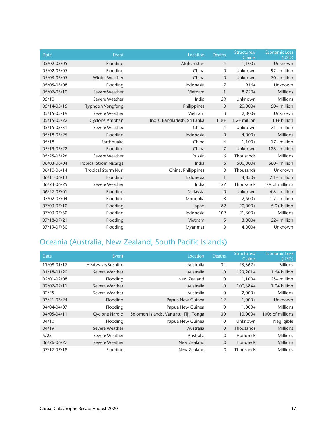| <b>Date</b>     | Event                         | Location                     | <b>Deaths</b>    | Structures/<br>Claims | <b>Economic Loss</b><br>(USD) |
|-----------------|-------------------------------|------------------------------|------------------|-----------------------|-------------------------------|
| 05/02-05/05     | Flooding                      | Afghanistan                  | $\overline{4}$   | $1,100+$              | Unknown                       |
| 05/02-05/05     | Flooding                      | China                        | $\mathbf 0$      | Unknown               | 92+ million                   |
| 05/03-05/05     | <b>Winter Weather</b>         | China                        | $\mathbf 0$      | Unknown               | 70+ million                   |
| 05/05-05/08     | Flooding                      | Indonesia                    | 7                | $916+$                | Unknown                       |
| 05/07-05/10     | Severe Weather                | Vietnam                      | 1                | $8,720+$              | <b>Millions</b>               |
| 05/10           | Severe Weather                | India                        | 29               | Unknown               | <b>Millions</b>               |
| $05/14 - 05/15$ | <b>Typhoon Vongfong</b>       | Philippines                  | $\boldsymbol{0}$ | $20,000+$             | 50+ million                   |
| 05/15-05/19     | Severe Weather                | Vietnam                      | 3                | $2,000+$              | Unknown                       |
| 05/15-05/22     | Cyclone Amphan                | India, Bangladesh, Sri Lanka | $118+$           | $1.2+$ million        | 13+ billion                   |
| 05/15-05/31     | Severe Weather                | China                        | 4                | Unknown               | $71+$ million                 |
| 05/18-05/25     | Flooding                      | Indonesia                    | $\mathbf 0$      | $4,000+$              | <b>Millions</b>               |
| 05/18           | Earthquake                    | China                        | 4                | $1,100+$              | 17+ million                   |
| 05/19-05/22     | Flooding                      | China                        | $\overline{7}$   | Unknown               | 128+ million                  |
| 05/25-05/26     | Severe Weather                | Russia                       | 6                | Thousands             | <b>Millions</b>               |
| 06/03-06/04     | <b>Tropical Strom Nisarga</b> | India                        | 6                | 500,000+              | 660+ million                  |
| 06/10-06/14     | <b>Tropical Storm Nuri</b>    | China, Philippines           | 0                | Thousands             | Unknown                       |
| $06/11 - 06/13$ | Flooding                      | Indonesia                    | $\mathbf{1}$     | $4,850+$              | $2.1+$ million                |
| 06/24-06/25     | Severe Weather                | India                        | 127              | Thousands             | 10s of millions               |
| 06/27-07/01     | Flooding                      | Malaysia                     | $\mathbf 0$      | Unknown               | $6.8+$ million                |
| 07/02-07/04     | Flooding                      | Mongolia                     | 8                | $2,500+$              | $1.7+$ million                |
| 07/03-07/10     | Flooding                      | Japan                        | 82               | $20,000+$             | $5.0+$ billion                |
| 07/03-07/30     | Flooding                      | Indonesia                    | 109              | $21,600+$             | <b>Millions</b>               |
| 07/18-07/21     | Flooding                      | Vietnam                      | 5                | $3,000+$              | 22+ million                   |
| 07/19-07/30     | Flooding                      | Myanmar                      | 0                | $4,000+$              | Unknown                       |

### Oceania (Australia, New Zealand, South Pacific Islands)

| Date        | Event             | Location                              | <b>Deaths</b>  | Structures/<br><b>Claims</b> | <b>Economic Loss</b><br>(USD) |
|-------------|-------------------|---------------------------------------|----------------|------------------------------|-------------------------------|
| 11/08-01/17 | Heatwave/Bushfire | Australia                             | 34             | $23,362+$                    | <b>Billions</b>               |
| 01/18-01/20 | Severe Weather    | Australia                             | $\overline{0}$ | $129,201+$                   | $1.6+$ billion                |
| 02/01-02/08 | Flooding          | New Zealand                           | $\mathbf 0$    | $1,100+$                     | $25+$ million                 |
| 02/07-02/11 | Severe Weather    | Australia                             | $\overline{0}$ | $100,384+$                   | $1.0+$ billion                |
| 02/25       | Severe Weather    | Australia                             | 0              | $2,000+$                     | <b>Millions</b>               |
| 03/21-03/24 | Flooding          | Papua New Guinea                      | 12             | $1,000+$                     | Unknown                       |
| 04/04-04/07 | Flooding          | Papua New Guinea                      | $\mathbf 0$    | $1,000+$                     | <b>Millions</b>               |
| 04/05-04/11 | Cyclone Harold    | Solomon Islands, Vanuatu, Fiji, Tonga | 30             | $10,000+$                    | 100s of millions              |
| 04/10       | Flooding          | Papua New Guinea                      | 10             | Unknown                      | Negligible                    |
| 04/19       | Severe Weather    | Australia                             | $\overline{0}$ | Thousands                    | <b>Millions</b>               |
| 5/25        | Severe Weather    | Australia                             | $\mathbf{0}$   | <b>Hundreds</b>              | <b>Millions</b>               |
| 06/26-06/27 | Severe Weather    | New Zealand                           | $\overline{0}$ | <b>Hundreds</b>              | <b>Millions</b>               |
| 07/17-07/18 | Flooding          | New Zealand                           | $\mathbf{0}$   | Thousands                    | <b>Millions</b>               |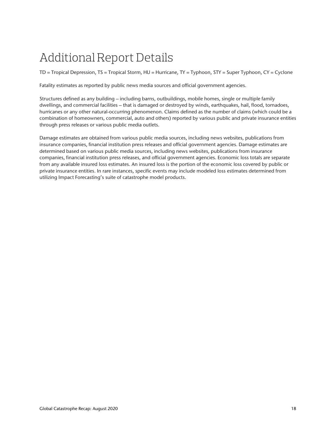## Additional Report Details

TD = Tropical Depression, TS = Tropical Storm, HU = Hurricane, TY = Typhoon, STY = Super Typhoon, CY = Cyclone

Fatality estimates as reported by public news media sources and official government agencies.

Structures defined as any building – including barns, outbuildings, mobile homes, single or multiple family dwellings, and commercial facilities – that is damaged or destroyed by winds, earthquakes, hail, flood, tornadoes, hurricanes or any other natural-occurring phenomenon. Claims defined as the number of claims (which could be a combination of homeowners, commercial, auto and others) reported by various public and private insurance entities through press releases or various public media outlets.

Damage estimates are obtained from various public media sources, including news websites, publications from insurance companies, financial institution press releases and official government agencies. Damage estimates are determined based on various public media sources, including news websites, publications from insurance companies, financial institution press releases, and official government agencies. Economic loss totals are separate from any available insured loss estimates. An insured loss is the portion of the economic loss covered by public or private insurance entities. In rare instances, specific events may include modeled loss estimates determined from utilizing Impact Forecasting's suite of catastrophe model products.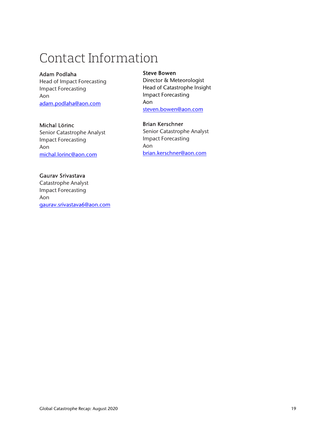## Contact Information

#### Adam Podlaha

Head of Impact Forecasting Impact Forecasting Aon adam.podlaha@aon.com

#### Michal Lörinc

Senior Catastrophe Analyst Impact Forecasting Aon michal.lorinc@aon.com

#### Gaurav Srivastava

Catastrophe Analyst Impact Forecasting Aon gaurav.srivastava6@aon.com

#### Steve Bowen

Director & Meteorologist Head of Catastrophe Insight Impact Forecasting Aon steven.bowen@aon.com

#### Brian Kerschner

Senior Catastrophe Analyst Impact Forecasting Aon brian.kerschner@aon.com